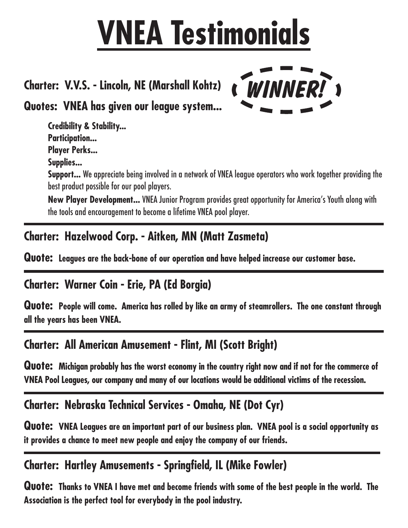# **VNEA Testimonials**

### **Charter: V.V.S. - Lincoln, NE (Marshall Kohtz)**

**Quotes: VNEA has given our league system...**

**Credibility & Stability... Participation... Player Perks...**

**Supplies...**

**Support...** We appreciate being involved in a network of VNEA league operators who work together providing the best product possible for our pool players.

WINNER! >

**New Player Development...** VNEA Junior Program provides great opportunity for America's Youth along with the tools and encouragement to become a lifetime VNEA pool player.

#### **Charter: Hazelwood Corp. - Aitken, MN (Matt Zasmeta)**

**Quote: Leagues are the back-bone of our operation and have helped increase our customer base.**

#### **Charter: Warner Coin - Erie, PA (Ed Borgia)**

**Quote: People will come. America has rolled by like an army of steamrollers. The one constant through all the years has been VNEA.**

#### **Charter: All American Amusement - Flint, MI (Scott Bright)**

Quote: Michigan probably has the worst economy in the country right now and if not for the commerce of **VNEA Pool Leagues, our company and many of our locations would be additional victims of the recession.**

#### **Charter: Nebraska Technical Services - Omaha, NE (Dot Cyr)**

Quote: VNEA Leagues are an important part of our business plan. VNEA pool is a social opportunity as **it provides a chance to meet new people and enjoy the company of our friends.**

#### **Charter: Hartley Amusements - Springfield, IL (Mike Fowler)**

Quote: Thanks to VNEA I have met and become friends with some of the best people in the world. The **Association is the perfect tool for everybody in the pool industry.**